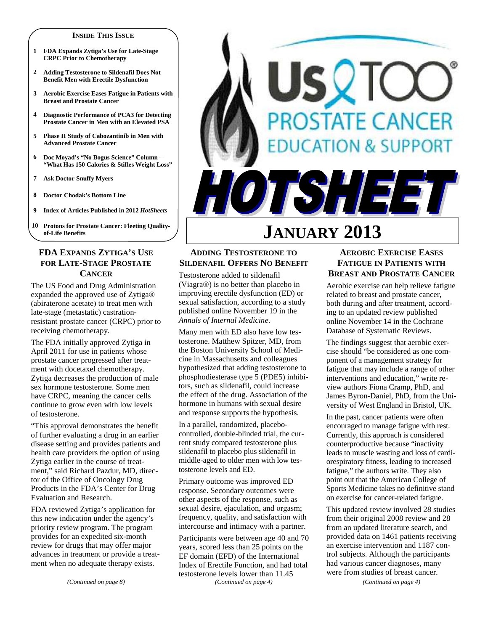#### **INSIDE THIS ISSUE**

- **1 FDA Expands Zytiga's Use for Late-Stage CRPC Prior to Chemotherapy**
- **2 Adding Testosterone to Sildenafil Does Not Benefit Men with Erectile Dysfunction**
- **3 Aerobic Exercise Eases Fatigue in Patients with Breast and Prostate Cancer**
- **4 Diagnostic Performance of PCA3 for Detecting Prostate Cancer in Men with an Elevated PSA**
- **5 Phase II Study of Cabozantinib in Men with Advanced Prostate Cancer**
- **6 Doc Moyad's "No Bogus Science" Column "What Has 150 Calories & Stifles Weight Loss"**
- **7 Ask Doctor Snuffy Myers**
- **8 Doctor Chodak's Bottom Line**
- **9 Index of Articles Published in 2012** *HotSheets*
- **10 Protons for Prostate Cancer: Fleeting Qualityof-Life Benefits**

#### **FDA EXPANDS ZYTIGA'S USE FOR LATE-STAGE PROSTATE CANCER**

The US Food and Drug Administration expanded the approved use of Zytiga® (abiraterone acetate) to treat men with late-stage (metastatic) castrationresistant prostate cancer (CRPC) prior to receiving chemotherapy.

The FDA initially approved Zytiga in April 2011 for use in patients whose prostate cancer progressed after treatment with docetaxel chemotherapy. Zytiga decreases the production of male sex hormone testosterone. Some men have CRPC, meaning the cancer cells continue to grow even with low levels of testosterone.

"This approval demonstrates the benefit of further evaluating a drug in an earlier disease setting and provides patients and health care providers the option of using Zytiga earlier in the course of treatment," said Richard Pazdur, MD, director of the Office of Oncology Drug Products in the FDA's Center for Drug Evaluation and Research.

FDA reviewed Zytiga's application for this new indication under the agency's priority review program. The program provides for an expedited six-month review for drugs that may offer major advances in treatment or provide a treatment when no adequate therapy exists.

# SQT *OSTATE CANCER* **ON & SUPPORT** JTSHEEL

# **JANUARY 2013**

#### **ADDING TESTOSTERONE TO SILDENAFIL OFFERS NO BENEFIT**

Testosterone added to sildenafil (Viagra®) is no better than placebo in improving erectile dysfunction (ED) or sexual satisfaction, according to a study published online November 19 in the *Annals of Internal Medicine*.

Many men with ED also have low testosterone. Matthew Spitzer, MD, from the Boston University School of Medicine in Massachusetts and colleagues hypothesized that adding testosterone to phosphodiesterase type 5 (PDE5) inhibitors, such as sildenafil, could increase the effect of the drug. Association of the hormone in humans with sexual desire and response supports the hypothesis.

In a parallel, randomized, placebocontrolled, double-blinded trial, the current study compared testosterone plus sildenafil to placebo plus sildenafil in middle-aged to older men with low testosterone levels and ED.

Primary outcome was improved ED response. Secondary outcomes were other aspects of the response, such as sexual desire, ejaculation, and orgasm; frequency, quality, and satisfaction with intercourse and intimacy with a partner.

Participants were between age 40 and 70 years, scored less than 25 points on the EF domain (EFD) of the International Index of Erectile Function, and had total testosterone levels lower than 11.45 *(Continued on page 4)* 

#### **AEROBIC EXERCISE EASES FATIGUE IN PATIENTS WITH BREAST AND PROSTATE CANCER**

Aerobic exercise can help relieve fatigue related to breast and prostate cancer, both during and after treatment, according to an updated review published online November 14 in the Cochrane Database of Systematic Reviews.

The findings suggest that aerobic exercise should "be considered as one component of a management strategy for fatigue that may include a range of other interventions and education," write review authors Fiona Cramp, PhD, and James Byron-Daniel, PhD, from the University of West England in Bristol, UK.

In the past, cancer patients were often encouraged to manage fatigue with rest. Currently, this approach is considered counterproductive because "inactivity leads to muscle wasting and loss of cardiorespiratory fitness, leading to increased fatigue," the authors write. They also point out that the American College of Sports Medicine takes no definitive stand on exercise for cancer-related fatigue.

This updated review involved 28 studies from their original 2008 review and 28 from an updated literature search, and provided data on 1461 patients receiving an exercise intervention and 1187 control subjects. Although the participants had various cancer diagnoses, many were from studies of breast cancer.

*(Continued on page 4)*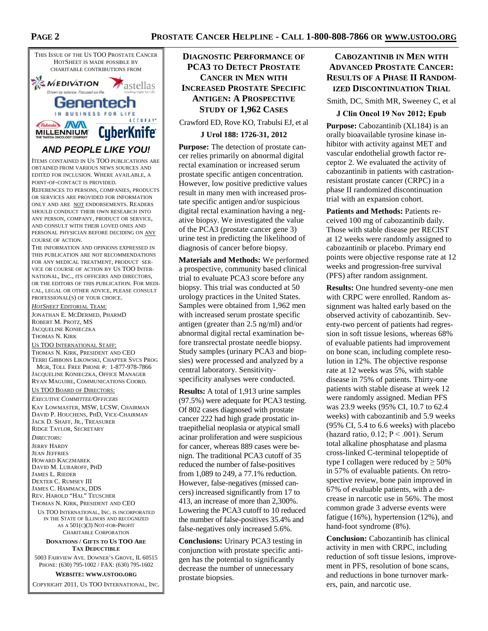

THE INFORMATION AND OPINIONS EXPRESSED IN THIS PUBLICATION ARE NOT RECOMMENDATIONS FOR ANY MEDICAL TREATMENT, PRODUCT SER-VICE OR COURSE OF ACTION BY US TOO INTER-NATIONAL, INC., ITS OFFICERS AND DIRECTORS, OR THE EDITORS OF THIS PUBLICATION. FOR MEDI-CAL, LEGAL OR OTHER ADVICE, PLEASE CONSULT PROFESSIONAL(S) OF YOUR CHOICE.

*HOTSHEET* EDITORIAL TEAM:

JONATHAN E. MCDERMED, PHARMD ROBERT M. PROTZ, MS JACQUELINE KONIECZKA THOMAS N. KIRK

#### US TOO INTERNATIONAL STAFF:

THOMAS N. KIRK, PRESIDENT AND CEO TERRI GIBBONS LIKOWSKI, CHAPTER SVCS PROG MGR, TOLL FREE PHONE #: 1-877-978-7866 JACQUELINE KONIECZKA, OFFICE MANAGER RYAN MAGUIRE, COMMUNICATIONS COORD.

#### US TOO BOARD OF DIRECTORS:

*EXECUTIVE COMMITTEE/OFFICERS*

KAY LOWMASTER, MSW, LCSW, CHAIRMAN DAVID P. HOUCHENS, PHD, VICE-CHAIRMAN JACK D. SHAFF, JR., TREASURER RIDGE TAYLOR, SECRETARY

*DIRECTORS:*  JERRY HARDY JEAN JEFFRIES HOWARD KACZMAREK DAVID M. LUBAROFF, PHD JAMES L. RIEDER DEXTER C. RUMSEY III JAMES C. HAMMACK, DDS REV. HAROLD "HAL" TEUSCHER THOMAS N. KIRK, PRESIDENT AND CEO

US TOO INTERNATIONAL, INC. IS INCORPORATED IN THE STATE OF ILLINOIS AND RECOGNIZED AS A 501(C)(3) NOT-FOR-PROFIT CHARITABLE CORPORATION

#### **DONATIONS / GIFTS TO US TOO ARE TAX DEDUCTIBLE**

5003 FAIRVIEW AVE. DOWNER'S GROVE, IL 60515 PHONE: (630) 795-1002 / FAX: (630) 795-1602

**WEBSITE: WWW.USTOO.ORG**

COPYRIGHT 2011, US TOO INTERNATIONAL, INC.

### **DIAGNOSTIC PERFORMANCE OF PCA3 TO DETECT PROSTATE CANCER IN MEN WITH INCREASED PROSTATE SPECIFIC ANTIGEN: A PROSPECTIVE STUDY OF 1,962 CASES**

Crawford ED, Rove KO, Trabulsi EJ, et al

#### **J Urol 188: 1726-31, 2012**

**Purpose:** The detection of prostate cancer relies primarily on abnormal digital rectal examination or increased serum prostate specific antigen concentration. However, low positive predictive values result in many men with increased prostate specific antigen and/or suspicious digital rectal examination having a negative biopsy. We investigated the value of the PCA3 (prostate cancer gene 3) urine test in predicting the likelihood of diagnosis of cancer before biopsy.

**Materials and Methods:** We performed a prospective, community based clinical trial to evaluate PCA3 score before any biopsy. This trial was conducted at 50 urology practices in the United States. Samples were obtained from 1,962 men with increased serum prostate specific antigen (greater than 2.5 ng/ml) and/or abnormal digital rectal examination before transrectal prostate needle biopsy. Study samples (urinary PCA3 and biopsies) were processed and analyzed by a central laboratory. Sensitivityspecificity analyses were conducted.

**Results:** A total of 1,913 urine samples (97.5%) were adequate for PCA3 testing. Of 802 cases diagnosed with prostate cancer 222 had high grade prostatic intraepithelial neoplasia or atypical small acinar proliferation and were suspicious for cancer, whereas 889 cases were benign. The traditional PCA3 cutoff of 35 reduced the number of false-positives from 1,089 to 249, a 77.1% reduction. However, false-negatives (missed cancers) increased significantly from 17 to 413, an increase of more than 2,300%. Lowering the PCA3 cutoff to 10 reduced the number of false-positives 35.4% and false-negatives only increased 5.6%.

**Conclusions:** Urinary PCA3 testing in conjunction with prostate specific antigen has the potential to significantly decrease the number of unnecessary prostate biopsies.

#### **CABOZANTINIB IN MEN WITH ADVANCED PROSTATE CANCER: RESULTS OF A PHASE II RANDOM-IZED DISCONTINUATION TRIAL**

Smith, DC, Smith MR, Sweeney C, et al

#### **J Clin Oncol 19 Nov 2012; Epub**

**Purpose:** Cabozantinib (XL184) is an orally bioavailable tyrosine kinase inhibitor with activity against MET and vascular endothelial growth factor receptor 2. We evaluated the activity of cabozantinib in patients with castrationresistant prostate cancer (CRPC) in a phase II randomized discontinuation trial with an expansion cohort.

**Patients and Methods:** Patients received 100 mg of cabozantinib daily. Those with stable disease per RECIST at 12 weeks were randomly assigned to cabozantinib or placebo. Primary end points were objective response rate at 12 weeks and progression-free survival (PFS) after random assignment.

**Results:** One hundred seventy-one men with CRPC were enrolled. Random assignment was halted early based on the observed activity of cabozantinib. Seventy-two percent of patients had regression in soft tissue lesions, whereas 68% of evaluable patients had improvement on bone scan, including complete resolution in 12%. The objective response rate at 12 weeks was 5%, with stable disease in 75% of patients. Thirty-one patients with stable disease at week 12 were randomly assigned. Median PFS was 23.9 weeks (95% CI, 10.7 to 62.4 weeks) with cabozantinib and 5.9 weeks (95% CI, 5.4 to 6.6 weeks) with placebo (hazard ratio,  $0.12$ ;  $P < .001$ ). Serum total alkaline phosphatase and plasma cross-linked C-terminal telopeptide of type I collagen were reduced by  $\geq 50\%$ in 57% of evaluable patients. On retrospective review, bone pain improved in 67% of evaluable patients, with a decrease in narcotic use in 56%. The most common grade 3 adverse events were fatigue (16%), hypertension (12%), and hand-foot syndrome (8%).

**Conclusion:** Cabozantinib has clinical activity in men with CRPC, including reduction of soft tissue lesions, improvement in PFS, resolution of bone scans, and reductions in bone turnover markers, pain, and narcotic use.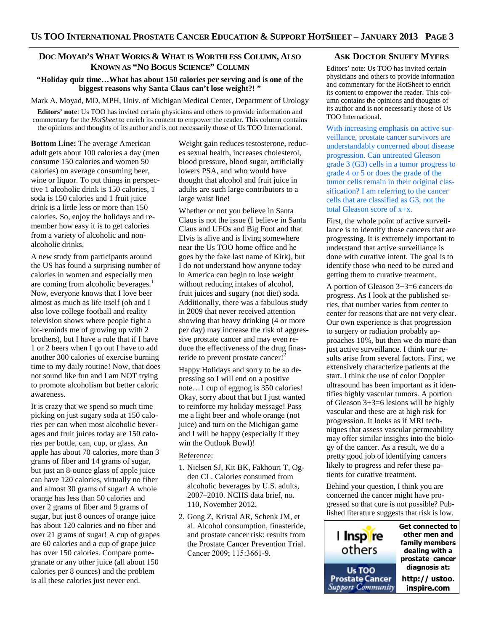#### **DOC MOYAD'S WHAT WORKS & WHAT IS WORTHLESS COLUMN, ALSO KNOWN AS "NO BOGUS SCIENCE" COLUMN**

#### **"Holiday quiz time…What has about 150 calories per serving and is one of the biggest reasons why Santa Claus can't lose weight?! "**

Mark A. Moyad, MD, MPH, Univ. of Michigan Medical Center, Department of Urology

**Editors' note**: Us TOO has invited certain physicians and others to provide information and commentary for the *HotSheet* to enrich its content to empower the reader. This column contains the opinions and thoughts of its author and is not necessarily those of Us TOO International.

**Bottom Line:** The average American adult gets about 100 calories a day (men consume 150 calories and women 50 calories) on average consuming beer, wine or liquor. To put things in perspective 1 alcoholic drink is 150 calories, 1 soda is 150 calories and 1 fruit juice drink is a little less or more than 150 calories. So, enjoy the holidays and remember how easy it is to get calories from a variety of alcoholic and nonalcoholic drinks.

A new study from participants around the US has found a surprising number of calories in women and especially men are coming from alcoholic beverages.<sup>1</sup> Now, everyone knows that I love beer almost as much as life itself (oh and I also love college football and reality television shows where people fight a lot-reminds me of growing up with 2 brothers), but I have a rule that if I have 1 or 2 beers when I go out I have to add another 300 calories of exercise burning time to my daily routine! Now, that does not sound like fun and I am NOT trying to promote alcoholism but better caloric awareness.

It is crazy that we spend so much time picking on just sugary soda at 150 calories per can when most alcoholic beverages and fruit juices today are 150 calories per bottle, can, cup, or glass. An apple has about 70 calories, more than 3 grams of fiber and 14 grams of sugar, but just an 8-ounce glass of apple juice can have 120 calories, virtually no fiber and almost 30 grams of sugar! A whole orange has less than 50 calories and over 2 grams of fiber and 9 grams of sugar, but just 8 ounces of orange juice has about 120 calories and no fiber and over 21 grams of sugar! A cup of grapes are 60 calories and a cup of grape juice has over 150 calories. Compare pomegranate or any other juice (all about 150 calories per 8 ounces) and the problem is all these calories just never end.

Weight gain reduces testosterone, reduces sexual health, increases cholesterol, blood pressure, blood sugar, artificially lowers PSA, and who would have thought that alcohol and fruit juice in adults are such large contributors to a large waist line!

Whether or not you believe in Santa Claus is not the issue (I believe in Santa Claus and UFOs and Big Foot and that Elvis is alive and is living somewhere near the Us TOO home office and he goes by the fake last name of Kirk), but I do not understand how anyone today in America can begin to lose weight without reducing intakes of alcohol, fruit juices and sugary (not diet) soda. Additionally, there was a fabulous study in 2009 that never received attention showing that heavy drinking (4 or more per day) may increase the risk of aggressive prostate cancer and may even reduce the effectiveness of the drug finasteride to prevent prostate cancer!<sup>2</sup>

Happy Holidays and sorry to be so depressing so I will end on a positive note…1 cup of eggnog is 350 calories! Okay, sorry about that but I just wanted to reinforce my holiday message! Pass me a light beer and whole orange (not juice) and turn on the Michigan game and I will be happy (especially if they win the Outlook Bowl)!

#### Reference:

- 1. Nielsen SJ, Kit BK, Fakhouri T, Ogden CL. Calories consumed from alcoholic beverages by U.S. adults, 2007–2010. NCHS data brief, no. 110, November 2012.
- 2. Gong Z, Kristal AR, Schenk JM, et al. Alcohol consumption, finasteride, and prostate cancer risk: results from the Prostate Cancer Prevention Trial. Cancer 2009; 115:3661-9.

#### **ASK DOCTOR SNUFFY MYERS**

Editors' note: Us TOO has invited certain physicians and others to provide information and commentary for the HotSheet to enrich its content to empower the reader. This column contains the opinions and thoughts of its author and is not necessarily those of Us TOO International.

With increasing emphasis on active surveillance, prostate cancer survivors are understandably concerned about disease progression. Can untreated Gleason grade 3 (G3) cells in a tumor progress to grade 4 or 5 or does the grade of the tumor cells remain in their original classification? I am referring to the cancer cells that are classified as G3, not the total Gleason score of x+x.

First, the whole point of active surveillance is to identify those cancers that are progressing. It is extremely important to understand that active surveillance is done with curative intent. The goal is to identify those who need to be cured and getting them to curative treatment.

A portion of Gleason 3+3=6 cancers do progress. As I look at the published series, that number varies from center to center for reasons that are not very clear. Our own experience is that progression to surgery or radiation probably approaches 10%, but then we do more than just active surveillance. I think our results arise from several factors. First, we extensively characterize patients at the start. I think the use of color Doppler ultrasound has been important as it identifies highly vascular tumors. A portion of Gleason 3+3=6 lesions will be highly vascular and these are at high risk for progression. It looks as if MRI techniques that assess vascular permeability may offer similar insights into the biology of the cancer. As a result, we do a pretty good job of identifying cancers likely to progress and refer these patients for curative treatment.

Behind your question, I think you are concerned the cancer might have progressed so that cure is not possible? Published literature suggests that risk is low.

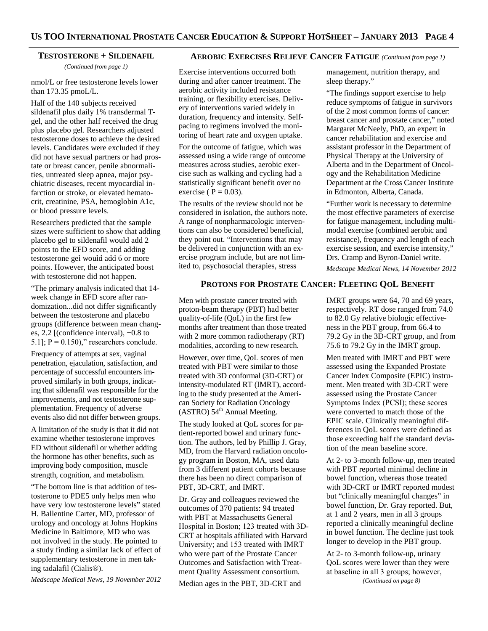#### **TESTOSTERONE + SILDENAFIL**

*(Continued from page 1)* 

nmol/L or free testosterone levels lower than 173.35 pmoL/L.

Half of the 140 subjects received sildenafil plus daily 1% transdermal Tgel, and the other half received the drug plus placebo gel. Researchers adjusted testosterone doses to achieve the desired levels. Candidates were excluded if they did not have sexual partners or had prostate or breast cancer, penile abnormalities, untreated sleep apnea, major psychiatric diseases, recent myocardial infarction or stroke, or elevated hematocrit, creatinine, PSA, hemoglobin A1c, or blood pressure levels.

Researchers predicted that the sample sizes were sufficient to show that adding placebo gel to sildenafil would add 2 points to the EFD score, and adding testosterone gel would add 6 or more points. However, the anticipated boost with testosterone did not happen.

"The primary analysis indicated that 14 week change in EFD score after randomization...did not differ significantly between the testosterone and placebo groups (difference between mean changes, 2.2 [(confidence interval), −0.8 to 5.1];  $P = 0.150$ ," researchers conclude.

Frequency of attempts at sex, vaginal penetration, ejaculation, satisfaction, and percentage of successful encounters improved similarly in both groups, indicating that sildenafil was responsible for the improvements, and not testosterone supplementation. Frequency of adverse events also did not differ between groups.

A limitation of the study is that it did not examine whether testosterone improves ED without sildenafil or whether adding the hormone has other benefits, such as improving body composition, muscle strength, cognition, and metabolism.

"The bottom line is that addition of testosterone to PDE5 only helps men who have very low testosterone levels" stated H. Ballentine Carter, MD, professor of urology and oncology at Johns Hopkins Medicine in Baltimore, MD who was not involved in the study. He pointed to a study finding a similar lack of effect of supplementary testosterone in men taking tadalafil (Cialis®).

*Medscape Medical News, 19 November 2012* 

#### **AEROBIC EXERCISES RELIEVE CANCER FATIGUE** *(Continued from page 1)*

Exercise interventions occurred both during and after cancer treatment. The aerobic activity included resistance training, or flexibility exercises. Delivery of interventions varied widely in duration, frequency and intensity. Selfpacing to regimens involved the monitoring of heart rate and oxygen uptake.

For the outcome of fatigue, which was assessed using a wide range of outcome measures across studies, aerobic exercise such as walking and cycling had a statistically significant benefit over no exercise ( $P = 0.03$ ).

The results of the review should not be considered in isolation, the authors note. A range of nonpharmacologic interventions can also be considered beneficial, they point out. "Interventions that may be delivered in conjunction with an exercise program include, but are not limited to, psychosocial therapies, stress

#### **PROTONS FOR PROSTATE CANCER: FLEETING QOL BENEFIT**

Men with prostate cancer treated with proton-beam therapy (PBT) had better quality-of-life (QoL) in the first few months after treatment than those treated with 2 more common radiotherapy (RT) modalities, according to new research.

However, over time, QoL scores of men treated with PBT were similar to those treated with 3D conformal (3D-CRT) or intensity-modulated RT (IMRT), according to the study presented at the American Society for Radiation Oncology  $(ASTRO)$  54<sup>th</sup> Annual Meeting.

The study looked at QoL scores for patient-reported bowel and urinary function. The authors, led by Phillip J. Gray, MD, from the Harvard radiation oncology program in Boston, MA, used data from 3 different patient cohorts because there has been no direct comparison of PBT, 3D-CRT, and IMRT.

Dr. Gray and colleagues reviewed the outcomes of 370 patients: 94 treated with PBT at Massachusetts General Hospital in Boston; 123 treated with 3D-CRT at hospitals affiliated with Harvard University; and 153 treated with IMRT who were part of the Prostate Cancer Outcomes and Satisfaction with Treatment Quality Assessment consortium.

Median ages in the PBT, 3D-CRT and

management, nutrition therapy, and sleep therapy."

"The findings support exercise to help reduce symptoms of fatigue in survivors of the 2 most common forms of cancer: breast cancer and prostate cancer," noted Margaret McNeely, PhD, an expert in cancer rehabilitation and exercise and assistant professor in the Department of Physical Therapy at the University of Alberta and in the Department of Oncology and the Rehabilitation Medicine Department at the Cross Cancer Institute in Edmonton, Alberta, Canada.

"Further work is necessary to determine the most effective parameters of exercise for fatigue management, including multimodal exercise (combined aerobic and resistance), frequency and length of each exercise session, and exercise intensity," Drs. Cramp and Byron-Daniel write.

*Medscape Medical News, 14 November 2012* 

IMRT groups were 64, 70 and 69 years, respectively. RT dose ranged from 74.0 to 82.0 Gy relative biologic effectiveness in the PBT group, from 66.4 to 79.2 Gy in the 3D-CRT group, and from 75.6 to 79.2 Gy in the IMRT group.

Men treated with IMRT and PBT were assessed using the Expanded Prostate Cancer Index Composite (EPIC) instrument. Men treated with 3D-CRT were assessed using the Prostate Cancer Symptoms Index (PCSI); these scores were converted to match those of the EPIC scale. Clinically meaningful differences in QoL scores were defined as those exceeding half the standard deviation of the mean baseline score.

At 2- to 3-month follow-up, men treated with PBT reported minimal decline in bowel function, whereas those treated with 3D-CRT or IMRT reported modest but "clinically meaningful changes" in bowel function, Dr. Gray reported. But, at 1 and 2 years, men in all 3 groups reported a clinically meaningful decline in bowel function. The decline just took longer to develop in the PBT group.

At 2- to 3-month follow-up, urinary QoL scores were lower than they were at baseline in all 3 groups; however, *(Continued on page 8)*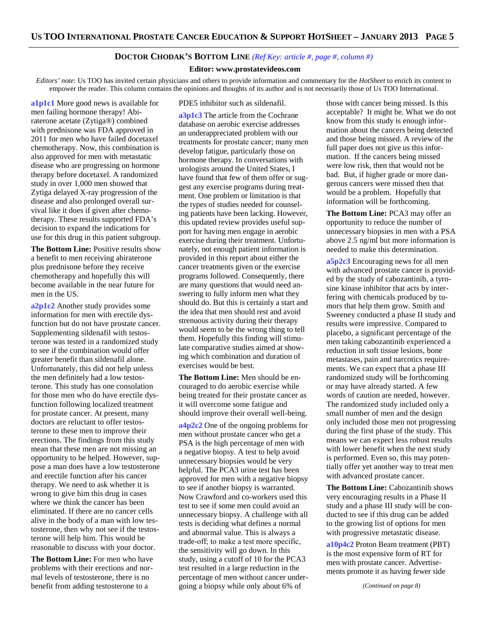#### **DOCTOR CHODAK'S BOTTOM LINE** *(Ref Key: article #, page #, column #)*

#### **Editor: www.prostatevideos.com**

*Editors' note*: Us TOO has invited certain physicians and others to provide information and commentary for the *HotSheet* to enrich its content to empower the reader. This column contains the opinions and thoughts of its author and is not necessarily those of Us TOO International.

**a1p1c1** More good news is available for men failing hormone therapy! Abiraterone acetate (Zytiga®) combined with prednisone was FDA approved in 2011 for men who have failed docetaxel chemotherapy. Now, this combination is also approved for men with metastatic disease who are progressing on hormone therapy before docetaxel. A randomized study in over 1,000 men showed that Zytiga delayed X-ray progression of the disease and also prolonged overall survival like it does if given after chemotherapy. These results supported FDA's decision to expand the indications for use for this drug in this patient subgroup.

**The Bottom Line:** Positive results show a benefit to men receiving abiraterone plus prednisone before they receive chemotherapy and hopefully this will become available in the near future for men in the US.

**a2p1c2** Another study provides some information for men with erectile dysfunction but do not have prostate cancer. Supplementing sildenafil with testosterone was tested in a randomized study to see if the combination would offer greater benefit than sildenafil alone. Unfortunately, this did not help unless the men definitely had a low testosterone. This study has one consolation for those men who do have erectile dysfunction following localized treatment for prostate cancer. At present, many doctors are reluctant to offer testosterone to these men to improve their erections. The findings from this study mean that these men are not missing an opportunity to be helped. However, suppose a man does have a low testosterone and erectile function after his cancer therapy. We need to ask whether it is wrong to give him this drug in cases where we think the cancer has been eliminated. If there are no cancer cells alive in the body of a man with low testosterone, then why not see if the testosterone will help him. This would be reasonable to discuss with your doctor.

**The Bottom Line:** For men who have problems with their erections and normal levels of testosterone, there is no benefit from adding testosterone to a

#### PDE5 inhibitor such as sildenafil.

**a3p1c3** The article from the Cochrane database on aerobic exercise addresses an underappreciated problem with our treatments for prostate cancer; many men develop fatigue, particularly those on hormone therapy. In conversations with urologists around the United States, I have found that few of them offer or suggest any exercise programs during treatment. One problem or limitation is that the types of studies needed for counseling patients have been lacking. However, this updated review provides useful support for having men engage in aerobic exercise during their treatment. Unfortunately, not enough patient information is provided in this report about either the cancer treatments given or the exercise programs followed. Consequently, there are many questions that would need answering to fully inform men what they should do. But this is certainly a start and the idea that men should rest and avoid strenuous activity during their therapy would seem to be the wrong thing to tell them. Hopefully this finding will stimulate comparative studies aimed at showing which combination and duration of exercises would be best.

**The Bottom Line:** Men should be encouraged to do aerobic exercise while being treated for their prostate cancer as it will overcome some fatigue and should improve their overall well-being.

**a4p2c2** One of the ongoing problems for men without prostate cancer who get a PSA is the high percentage of men with a negative biopsy. A test to help avoid unnecessary biopsies would be very helpful. The PCA3 urine test has been approved for men with a negative biopsy to see if another biopsy is warranted. Now Crawford and co-workers used this test to see if some men could avoid an unnecessary biopsy. A challenge with all tests is deciding what defines a normal and abnormal value. This is always a trade-off; to make a test more specific, the sensitivity will go down. In this study, using a cutoff of 10 for the PCA3 test resulted in a large reduction in the percentage of men without cancer undergoing a biopsy while only about 6% of

those with cancer being missed. Is this acceptable? It might be. What we do not know from this study is enough information about the cancers being detected and those being missed. A review of the full paper does not give us this information. If the cancers being missed were low risk, then that would not be bad. But, if higher grade or more dangerous cancers were missed then that would be a problem. Hopefully that information will be forthcoming.

**The Bottom Line:** PCA3 may offer an opportunity to reduce the number of unnecessary biopsies in men with a PSA above 2.5 ng/ml but more information is needed to make this determination.

**a5p2c3** Encouraging news for all men with advanced prostate cancer is provided by the study of cabozantinib, a tyrosine kinase inhibitor that acts by interfering with chemicals produced by tumors that help them grow. Smith and Sweeney conducted a phase II study and results were impressive. Compared to placebo, a significant percentage of the men taking cabozantinib experienced a reduction in soft tissue lesions, bone metastases, pain and narcotics requirements. We can expect that a phase III randomized study will be forthcoming or may have already started. A few words of caution are needed, however. The randomized study included only a small number of men and the design only included those men not progressing during the first phase of the study. This means we can expect less robust results with lower benefit when the next study is performed. Even so, this may potentially offer yet another way to treat men with advanced prostate cancer.

**The Bottom Line:** Cabozantinib shows very encouraging results in a Phase II study and a phase III study will be conducted to see if this drug can be added to the growing list of options for men with progressive metastatic disease.

**a10p4c2** Proton Beam treatment (PBT) is the most expensive form of RT for men with prostate cancer. Advertisements promote it as having fewer side

*(Continued on page 8)*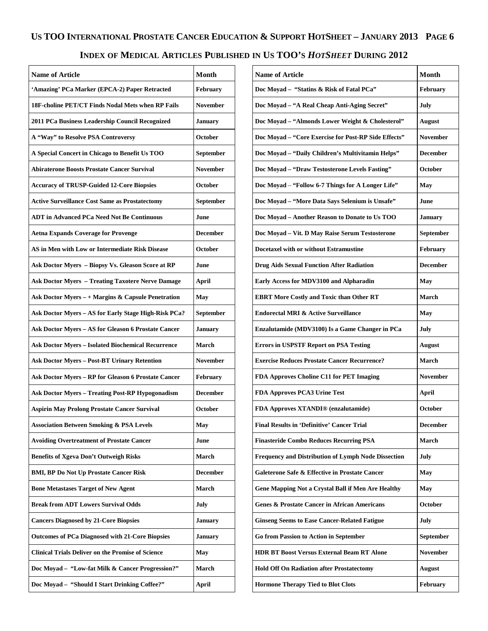# US TOO INTERNATIONAL PROSTATE CANCER EDUCATION & SUPPORT HOTSHEET - JANUARY 2013 PAGE 6 **INDEX OF MEDICAL ARTICLES PUBLISHED IN US TOO'S** *HOTSHEET* **DURING 2012**

| <b>Name of Article</b>                                    | Month           |
|-----------------------------------------------------------|-----------------|
| 'Amazing' PCa Marker (EPCA-2) Paper Retracted             | February        |
| 18F-choline PET/CT Finds Nodal Mets when RP Fails         | <b>November</b> |
| 2011 PCa Business Leadership Council Recognized           | <b>January</b>  |
| A "Way" to Resolve PSA Controversy                        | <b>October</b>  |
| A Special Concert in Chicago to Benefit Us TOO            | September       |
| <b>Abiraterone Boosts Prostate Cancer Survival</b>        | <b>November</b> |
| <b>Accuracy of TRUSP-Guided 12-Core Biopsies</b>          | <b>October</b>  |
| <b>Active Surveillance Cost Same as Prostatectomy</b>     | September       |
| <b>ADT</b> in Advanced PCa Need Not Be Continuous         | June            |
| <b>Aetna Expands Coverage for Provenge</b>                | <b>December</b> |
| AS in Men with Low or Intermediate Risk Disease           | <b>October</b>  |
| Ask Doctor Myers - Biopsy Vs. Gleason Score at RP         | June            |
| <b>Ask Doctor Myers - Treating Taxotere Nerve Damage</b>  | <b>April</b>    |
| Ask Doctor Myers $- +$ Margins & Capsule Penetration      | May             |
| Ask Doctor Myers - AS for Early Stage High-Risk PCa?      | September       |
| Ask Doctor Myers - AS for Gleason 6 Prostate Cancer       | <b>January</b>  |
| <b>Ask Doctor Myers - Isolated Biochemical Recurrence</b> | March           |
| <b>Ask Doctor Myers - Post-BT Urinary Retention</b>       | <b>November</b> |
| Ask Doctor Myers - RP for Gleason 6 Prostate Cancer       | February        |
| <b>Ask Doctor Myers - Treating Post-RP Hypogonadism</b>   | <b>December</b> |
| <b>Aspirin May Prolong Prostate Cancer Survival</b>       | October         |
| <b>Association Between Smoking &amp; PSA Levels</b>       | May             |
| <b>Avoiding Overtreatment of Prostate Cancer</b>          | June            |
| <b>Benefits of Xgeva Don't Outweigh Risks</b>             | March           |
| <b>BMI, BP Do Not Up Prostate Cancer Risk</b>             | <b>December</b> |
| <b>Bone Metastases Target of New Agent</b>                | <b>March</b>    |
| <b>Break from ADT Lowers Survival Odds</b>                | July            |
| <b>Cancers Diagnosed by 21-Core Biopsies</b>              | <b>January</b>  |
| <b>Outcomes of PCa Diagnosed with 21-Core Biopsies</b>    | <b>January</b>  |
| <b>Clinical Trials Deliver on the Promise of Science</b>  | May             |
| Doc Moyad - "Low-fat Milk & Cancer Progression?"          | March           |
| Doc Moyad - "Should I Start Drinking Coffee?"             | <b>April</b>    |

| <b>Name of Article</b>                                  | Month           |
|---------------------------------------------------------|-----------------|
| Doc Moyad - "Statins & Risk of Fatal PCa"               | <b>February</b> |
| Doc Moyad - "A Real Cheap Anti-Aging Secret"            | July            |
| Doc Moyad - "Almonds Lower Weight & Cholesterol"        | <b>August</b>   |
| Doc Moyad - "Core Exercise for Post-RP Side Effects"    | <b>November</b> |
| Doc Moyad - "Daily Children's Multivitamin Helps"       | <b>December</b> |
| Doc Moyad - "Draw Testosterone Levels Fasting"          | <b>October</b>  |
| Doc Moyad - "Follow 6-7 Things for A Longer Life"       | May             |
| Doc Moyad - "More Data Says Selenium is Unsafe"         | June            |
| Doc Moyad - Another Reason to Donate to Us TOO          | <b>January</b>  |
| Doc Moyad - Vit. D May Raise Serum Testosterone         | September       |
| Docetaxel with or without Estramustine                  | February        |
| <b>Drug Aids Sexual Function After Radiation</b>        | <b>December</b> |
| Early Access for MDV3100 and Alpharadin                 | May             |
| <b>EBRT More Costly and Toxic than Other RT</b>         | <b>March</b>    |
| <b>Endorectal MRI &amp; Active Surveillance</b>         | May             |
| Enzalutamide (MDV3100) Is a Game Changer in PCa         | July            |
| <b>Errors in USPSTF Report on PSA Testing</b>           | August          |
| <b>Exercise Reduces Prostate Cancer Recurrence?</b>     | <b>March</b>    |
| FDA Approves Choline C11 for PET Imaging                | <b>November</b> |
| FDA Approves PCA3 Urine Test                            | April           |
| FDA Approves XTANDI® (enzalutamide)                     | <b>October</b>  |
| <b>Final Results in 'Definitive' Cancer Trial</b>       | <b>December</b> |
| <b>Finasteride Combo Reduces Recurring PSA</b>          | March           |
| Frequency and Distribution of Lymph Node Dissection     | July            |
| Galeterone Safe & Effective in Prostate Cancer          | May             |
| Gene Mapping Not a Crystal Ball if Men Are Healthy      | May             |
| <b>Genes &amp; Prostate Cancer in African Americans</b> | October         |
| <b>Ginseng Seems to Ease Cancer-Related Fatigue</b>     | July            |
| <b>Go from Passion to Action in September</b>           | September       |
| <b>HDR BT Boost Versus External Beam RT Alone</b>       | <b>November</b> |
| <b>Hold Off On Radiation after Prostatectomy</b>        | <b>August</b>   |
| <b>Hormone Therapy Tied to Blot Clots</b>               | February        |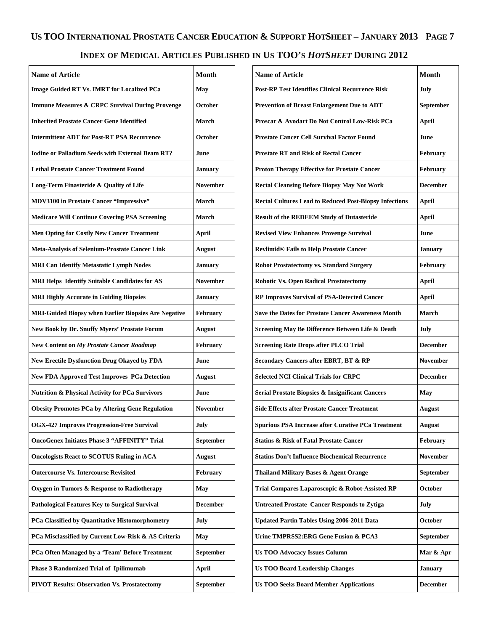## **INDEX OF MEDICAL ARTICLES PUBLISHED IN US TOO'S** *HOTSHEET* **DURING 2012**

| <b>Name of Article</b>                                     | <b>Month</b>    |
|------------------------------------------------------------|-----------------|
| <b>Image Guided RT Vs. IMRT for Localized PCa</b>          | May             |
| <b>Immune Measures &amp; CRPC Survival During Provenge</b> | October         |
| <b>Inherited Prostate Cancer Gene Identified</b>           | March           |
| <b>Intermittent ADT for Post-RT PSA Recurrence</b>         | October         |
| <b>Iodine or Palladium Seeds with External Beam RT?</b>    | June            |
| <b>Lethal Prostate Cancer Treatment Found</b>              | <b>January</b>  |
| Long-Term Finasteride & Quality of Life                    | <b>November</b> |
| <b>MDV3100</b> in Prostate Cancer "Impressive"             | <b>March</b>    |
| <b>Medicare Will Continue Covering PSA Screening</b>       | March           |
| <b>Men Opting for Costly New Cancer Treatment</b>          | April           |
| <b>Meta-Analysis of Selenium-Prostate Cancer Link</b>      | August          |
| <b>MRI Can Identify Metastatic Lymph Nodes</b>             | <b>January</b>  |
| <b>MRI Helps Identify Suitable Candidates for AS</b>       | <b>November</b> |
| <b>MRI Highly Accurate in Guiding Biopsies</b>             | <b>January</b>  |
| MRI-Guided Biopsy when Earlier Biopsies Are Negative       | February        |
| <b>New Book by Dr. Snuffy Myers' Prostate Forum</b>        | <b>August</b>   |
| New Content on My Prostate Cancer Roadmap                  | <b>February</b> |
| <b>New Erectile Dysfunction Drug Okayed by FDA</b>         | June            |
| <b>New FDA Approved Test Improves PCa Detection</b>        | <b>August</b>   |
| <b>Nutrition &amp; Physical Activity for PCa Survivors</b> | June            |
| <b>Obesity Promotes PCa by Altering Gene Regulation</b>    | <b>November</b> |
| <b>OGX-427 Improves Progression-Free Survival</b>          | July            |
| <b>OncoGenex Initiates Phase 3 "AFFINITY" Trial</b>        | September       |
| <b>Oncologists React to SCOTUS Ruling in ACA</b>           | August          |
| <b>Outercourse Vs. Intercourse Revisited</b>               | February        |
| Oxygen in Tumors & Response to Radiotherapy                | May             |
| Pathological Features Key to Surgical Survival             | <b>December</b> |
| PCa Classified by Quantitative Histomorphometry            | July            |
| PCa Misclassified by Current Low-Risk & AS Criteria        | May             |
| PCa Often Managed by a 'Team' Before Treatment             | September       |
| Phase 3 Randomized Trial of Ipilimumab                     | <b>April</b>    |
| <b>PIVOT Results: Observation Vs. Prostatectomy</b>        | September       |

| <b>Name of Article</b>                                        | <b>Month</b>    |
|---------------------------------------------------------------|-----------------|
| <b>Post-RP Test Identifies Clinical Recurrence Risk</b>       | July            |
| <b>Prevention of Breast Enlargement Due to ADT</b>            | September       |
| Proscar & Avodart Do Not Control Low-Risk PCa                 | April           |
| <b>Prostate Cancer Cell Survival Factor Found</b>             | June            |
| <b>Prostate RT and Risk of Rectal Cancer</b>                  | <b>February</b> |
| <b>Proton Therapy Effective for Prostate Cancer</b>           | <b>February</b> |
| <b>Rectal Cleansing Before Biopsy May Not Work</b>            | <b>December</b> |
| <b>Rectal Cultures Lead to Reduced Post-Biopsy Infections</b> | <b>April</b>    |
| <b>Result of the REDEEM Study of Dutasteride</b>              | <b>April</b>    |
| <b>Revised View Enhances Provenge Survival</b>                | June            |
| <b>Revlimid® Fails to Help Prostate Cancer</b>                | <b>January</b>  |
| <b>Robot Prostatectomy vs. Standard Surgery</b>               | February        |
| <b>Robotic Vs. Open Radical Prostatectomy</b>                 | April           |
| <b>RP Improves Survival of PSA-Detected Cancer</b>            | <b>April</b>    |
| <b>Save the Dates for Prostate Cancer Awareness Month</b>     | March           |
| Screening May Be Difference Between Life & Death              | July            |
| <b>Screening Rate Drops after PLCO Trial</b>                  | <b>December</b> |
| Secondary Cancers after EBRT, BT & RP                         | <b>November</b> |
| <b>Selected NCI Clinical Trials for CRPC</b>                  | <b>December</b> |
| Serial Prostate Biopsies & Insignificant Cancers              | May             |
| <b>Side Effects after Prostate Cancer Treatment</b>           | <b>August</b>   |
| Spurious PSA Increase after Curative PCa Treatment            | <b>August</b>   |
| <b>Statins &amp; Risk of Fatal Prostate Cancer</b>            | <b>February</b> |
| <b>Statins Don't Influence Biochemical Recurrence</b>         | <b>November</b> |
| Thailand Military Bases & Agent Orange                        | September       |
| Trial Compares Laparoscopic & Robot-Assisted RP               | October         |
| <b>Untreated Prostate Cancer Responds to Zytiga</b>           | July            |
| <b>Updated Partin Tables Using 2006-2011 Data</b>             | <b>October</b>  |
| Urine TMPRSS2: ERG Gene Fusion & PCA3                         | September       |
| <b>Us TOO Advocacy Issues Column</b>                          | Mar & Apr       |
| <b>Us TOO Board Leadership Changes</b>                        | <b>January</b>  |
| <b>Us TOO Seeks Board Member Applications</b>                 | <b>December</b> |